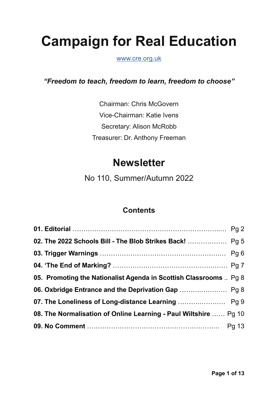# **Campaign for Real Education**

[www.cre.org.uk](https://www.cre.org.uk)

*"Freedom to teach, freedom to learn, freedom to choose"*

Chairman: Chris McGovern Vice-Chairman: Katie Ivens Secretary: Alison McRobb Treasurer: Dr. Anthony Freeman

## **Newsletter**

No 110, Summer/Autumn 2022

## **Contents**

| 05. Promoting the Nationalist Agenda in Scottish Classrooms  Pg 8 |  |
|-------------------------------------------------------------------|--|
| 06. Oxbridge Entrance and the Deprivation Gap  Pg 8               |  |
|                                                                   |  |
| 08. The Normalisation of Online Learning - Paul Wiltshire  Pg 10  |  |
|                                                                   |  |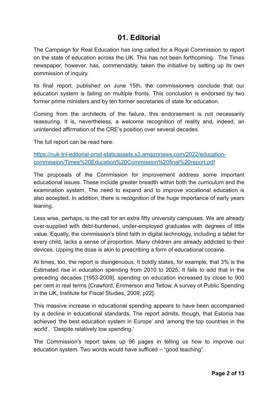#### **01. Editorial**

The Campaign for Real Education has long called for a Royal Commission to report on the state of education across the UK. This has not been forthcoming. The Times newspaper, however, has, commendably, taken the initiative by setting up its own commission of inquiry.

Its final report, published on June 15th, the commissioners conclude that our education system is failing on multiple fronts. This conclusion is endorsed by two former prime ministers and by ten former secretaries of state for education.

Coming from the architects of the failure, this endorsement is not necessarily reassuring. It is, nevertheless, a welcome recognition of reality and, indeed, an unintended affirmation of the CRE's position over several decades.

The full report can be read here:

[https://nuk-tnl-editorial-prod-staticassets.s3.amazonaws.com/2022/education](https://nuk-tnl-editorial-prod-staticassets.s3.amazonaws.com/2022/education-commission/Times%20Education%20Commission%20final%20report.pdf)[commission/Times%20Education%20Commission%20final%20report.pdf](https://nuk-tnl-editorial-prod-staticassets.s3.amazonaws.com/2022/education-commission/Times%20Education%20Commission%20final%20report.pdf)

The proposals of the Commission for improvement address some important educational issues. These include greater breadth within both the curriculum and the examination system. The need to expand and to improve vocational education is also accepted. In addition, there is recognition of the huge importance of early years leaning.

Less wise, perhaps, is the call for an extra fifty university campuses. We are already over-supplied with debt-burdened, under-employed graduates with degrees of little value. Equally, the commission's blind faith in digital technology, including a tablet for every child, lacks a sense of proportion. Many children are already addicted to their devices. Upping the dose is akin to prescribing a form of educational cocaine.

At times, too, the report is disingenuous. It boldly states, for example, that 3% is the Estimated rise in education spending from 2010 to 2025. It fails to add that in the preceding decades [1953-2009], spending on education increased by close to 900 per cent in real terms [Crawford, Emmerson and Tetlow, A survey of Public Spending in the UK, Institute for Fiscal Studies, 2009, p22].

This massive increase in educational spending appears to have been accompanied by a decline in educational standards. The report admits, though, that Estonia has achieved 'the best education system in Europe' and 'among the top countries in the world', 'Despite relatively low spending.'

The Commission's report takes up 96 pages in telling us how to improve our education system. Two words would have sufficed – "good teaching".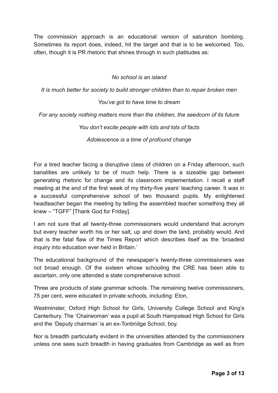The commission approach is an educational version of saturation bombing. Sometimes its report does, indeed, hit the target and that is to be welcomed. Too, often, though it is PR rhetoric that shines through in such platitudes as:

#### *No school is an island*

*It is much better for society to build stronger children than to repair broken men*

#### *You've got to have time to dream*

*For any society nothing matters more than the children, the seedcorn of its future*

*You don't excite people with lots and lots of facts*

*Adolescence is a time of profound change*

For a tired teacher facing a disruptive class of children on a Friday afternoon, such banalities are unlikely to be of much help. There is a sizeable gap between generating rhetoric for change and its classroom implementation. I recall a staff meeting at the end of the first week of my thirty-five years' teaching career. It was in a successful comprehensive school of two thousand pupils. My enlightened headteacher began the meeting by telling the assembled teacher something they all knew – "TGFF" [Thank God for Friday].

I am not sure that all twenty-three commissioners would understand that acronym but every teacher worth his or her salt, up and down the land, probably would. And that is the fatal flaw of the Times Report which describes itself as the 'broadest inquiry into education ever held in Britain.'

The educational background of the newspaper's twenty-three commissioners was not broad enough. Of the sixteen whose schooling the CRE has been able to ascertain, only one attended a state comprehensive school.

Three are products of state grammar schools. The remaining twelve commissioners, 75 per cent, were educated in private schools, including: Eton,

Westminster, Oxford High School for Girls, University College School and King's Canterbury. The 'Chairwoman' was a pupil at South Hampstead High School for Girls and the 'Deputy chairman' is an ex-Tonbridge School, boy.

Nor is breadth particularly evident in the universities attended by the commissioners unless one sees such breadth in having graduates from Cambridge as well as from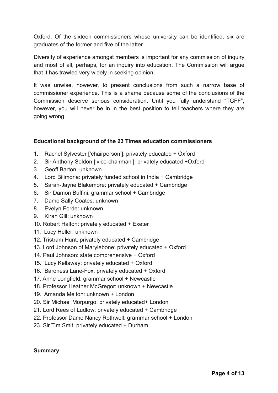Oxford. Of the sixteen commissioners whose university can be identified, six are graduates of the former and five of the latter.

Diversity of experience amongst members is important for any commission of inquiry and most of all, perhaps, for an inquiry into education. The Commission will argue that it has trawled very widely in seeking opinion.

It was unwise, however, to present conclusions from such a narrow base of commissioner experience. This is a shame because some of the conclusions of the Commission deserve serious consideration. Until you fully understand "TGFF", however, you will never be in in the best position to tell teachers where they are going wrong.

#### **Educational background of the 23 Times education commissioners**

- 1. Rachel Sylvester ['chairperson']: privately educated + Oxford
- 2. Sir Anthony Seldon ['vice-chairman']: privately educated +Oxford
- 3. Geoff Barton: unknown
- 4. Lord Bilimoria: privately funded school in India + Cambridge
- 5. Sarah-Jayne Blakemore: privately educated + Cambridge
- 6. Sir Damon Buffini: grammar school + Cambridge
- 7. Dame Sally Coates: unknown
- 8. Evelyn Forde: unknown
- 9. Kiran Gill: unknown
- 10. Robert Halfon: privately educated + Exeter
- 11. Lucy Heller: unknown
- 12. Tristram Hunt: privately educated + Cambridge
- 13. Lord Johnson of Marylebone: privately educated + Oxford
- 14. Paul Johnson: state comprehensive + Oxford
- 15. Lucy Kellaway: privately educated + Oxford
- 16. Baroness Lane-Fox: privately educated + Oxford
- 17. Anne Longfield: grammar school + Newcastle
- 18. Professor Heather McGregor: unknown + Newcastle
- 19. Amanda Melton: unknown + London
- 20. Sir Michael Morpurgo: privately educated+ London
- 21. Lord Rees of Ludlow: privately educated + Cambridge
- 22. Professor Dame Nancy Rothwell: grammar school + London
- 23. Sir Tim Smit: privately educated + Durham

#### **Summary**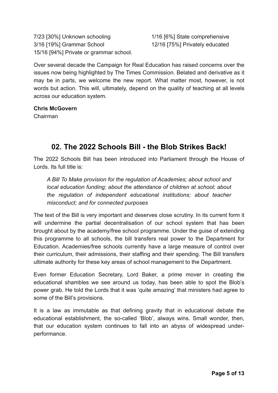7/23 [30%] Unknown schooling 1/16 [6%] State comprehensive 3/16 [19%] Grammar School 12/16 [75%] Privately educated 15/16 [94%] Private or grammar school.

Over several decade the Campaign for Real Education has raised concerns over the issues now being highlighted by The Times Commission. Belated and derivative as it may be in parts, we welcome the new report. What matter most, however, is not words but action. This will, ultimately, depend on the quality of teaching at all levels across our education system.

#### **Chris McGovern**

Chairman

## **02. The 2022 Schools Bill - the Blob Strikes Back!**

The 2022 Schools Bill has been introduced into Parliament through the House of Lords. Its full title is:

*A Bill To Make provision for the regulation of Academies; about school and local education funding; about the attendance of children at school; about the regulation of independent educational institutions; about teacher misconduct; and for connected purposes*

The text of the Bill is very important and deserves close scrutiny. In its current form it will undermine the partial decentralisation of our school system that has been brought about by the academy/free school programme. Under the guise of extending this programme to all schools, the bill transfers real power to the Department for Education. Academies/free schools currently have a large measure of control over their curriculum, their admissions, their staffing and their spending. The Bill transfers ultimate authority for these key areas of school management to the Department.

Even former Education Secretary, Lord Baker, a prime mover in creating the educational shambles we see around us today, has been able to spot the Blob's power grab. He told the Lords that it was 'quite amazing' that ministers had agree to some of the Bill's provisions.

It is a law as immutable as that defining gravity that in educational debate the educational establishment, the so-called 'Blob', always wins. Small wonder, then, that our education system continues to fall into an abyss of widespread underperformance.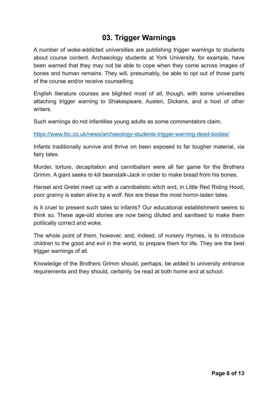## **03. Trigger Warnings**

A number of woke-addicted universities are publishing trigger warnings to students about course content. Archaeology students at York University, for example, have been warned that they may not be able to cope when they come across images of bones and human remains. They will, presumably, be able to opt out of those parts of the course and/or receive counselling.

English literature courses are blighted most of all, though, with some universities attaching trigger warning to Shakespeare, Austen, Dickens, and a host of other writers.

Such warnings do not infantilise young adults as some commentators claim.

<https://www.lbc.co.uk/news/archaeology-students-trigger-warning-dead-bodies/>

Infants traditionally survive and thrive on been exposed to far tougher material, via fairy tales.

Murder, torture, decapitation and cannibalism were all fair game for the Brothers Grimm. A giant seeks to kill beanstalk-Jack in order to make bread from his bones.

Hansel and Gretel meet up with a cannibalistic witch and, in Little Red Riding Hood, poor granny is eaten alive by a wolf. Nor are these the most horror-laden tales.

Is it cruel to present such tales to infants? Our educational establishment seems to think so. These age-old stories are now being diluted and sanitised to make them politically correct and woke.

The whole point of them, however, and, indeed, of nursery rhymes, is to introduce children to the good and evil in the world, to prepare them for life. They are the best trigger warnings of all.

Knowledge of the Brothers Grimm should, perhaps, be added to university entrance requirements and they should, certainly, be read at both home and at school.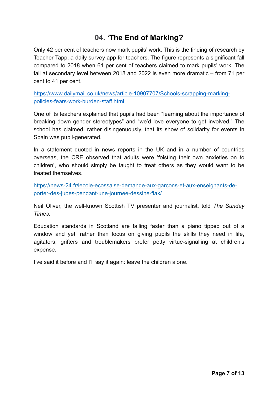## **04. 'The End of Marking?**

Only 42 per cent of teachers now mark pupils' work. This is the finding of research by Teacher Tapp, a daily survey app for teachers. The figure represents a significant fall compared to 2018 when 61 per cent of teachers claimed to mark pupils' work. The fall at secondary level between 2018 and 2022 is even more dramatic – from 71 per cent to 41 per cent.

[https://www.dailymail.co.uk/news/article-10907707/Schools-scrapping-marking](https://www.dailymail.co.uk/news/article-10907707/Schools-scrapping-marking-policies-fears-work-burden-staff.html)[policies-fears-work-burden-staff.html](https://www.dailymail.co.uk/news/article-10907707/Schools-scrapping-marking-policies-fears-work-burden-staff.html)

One of its teachers explained that pupils had been "learning about the importance of breaking down gender stereotypes" and "we'd love everyone to get involved." The school has claimed, rather disingenuously, that its show of solidarity for events in Spain was pupil-generated.

In a statement quoted in news reports in the UK and in a number of countries overseas, the CRE observed that adults were 'foisting their own anxieties on to children', who should simply be taught to treat others as they would want to be treated themselves.

[https://news-24.fr/lecole-ecossaise-demande-aux-garcons-et-aux-enseignants-de](https://news-24.fr/lecole-ecossaise-demande-aux-garcons-et-aux-enseignants-de-porter-des-jupes-pendant-une-journee-dessine-flak/)[porter-des-jupes-pendant-une-journee-dessine-flak/](https://news-24.fr/lecole-ecossaise-demande-aux-garcons-et-aux-enseignants-de-porter-des-jupes-pendant-une-journee-dessine-flak/)

Neil Oliver, the well-known Scottish TV presenter and journalist, told *The Sunday Times*:

Education standards in Scotland are falling faster than a piano tipped out of a window and yet, rather than focus on giving pupils the skills they need in life, agitators, grifters and troublemakers prefer petty virtue-signalling at children's expense.

I've said it before and I'll say it again: leave the children alone.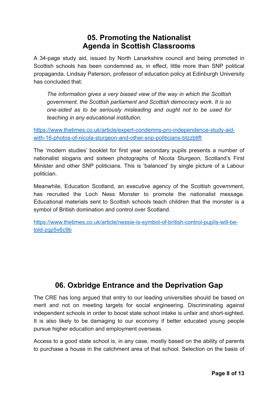#### **05. Promoting the Nationalist Agenda in Scottish Classrooms**

A 34-page study aid, issued by North Lanarkshire council and being promoted in Scottish schools has been condemned as, in effect, little more than SNP political propaganda. Lindsay Paterson, professor of education policy at Edinburgh University has concluded that:

*The information gives a very biased view of the way in which the Scottish government, the Scottish parliament and Scottish democracy work. It is so one-sided as to be seriously misleading and ought not to be used for teaching in any educational institution.*

[https://www.thetimes.co.uk/article/expert-condemns-pro-independence-study-aid](https://www.thetimes.co.uk/article/expert-condemns-pro-independence-study-aid-with-16-photos-of-nicola-sturgeon-and-other-snp-politicians-btzzbtlft)[with-16-photos-of-nicola-sturgeon-and-other-snp-politicians-btzzbtlft](https://www.thetimes.co.uk/article/expert-condemns-pro-independence-study-aid-with-16-photos-of-nicola-sturgeon-and-other-snp-politicians-btzzbtlft)

The 'modern studies' booklet for first year secondary pupils presents a number of nationalist slogans and sixteen photographs of Nicola Sturgeon, Scotland's First Minister and other SNP politicians. This is 'balanced' by single picture of a Labour politician.

Meanwhile, Education Scotland, an executive agency of the Scottish government, has recruited the Loch Ness Monster to promote the nationalist message. Educational materials sent to Scottish schools teach children that the monster is a symbol of British domination and control over Scotland.

[https://www.thetimes.co.uk/article/nessie-is-symbol-of-british-control-pupils-will-be](https://www.thetimes.co.uk/article/nessie-is-symbol-of-british-control-pupils-will-be-told-zqp5v6c9b)[told-zqp5v6c9b](https://www.thetimes.co.uk/article/nessie-is-symbol-of-british-control-pupils-will-be-told-zqp5v6c9b)

## **06. Oxbridge Entrance and the Deprivation Gap**

The CRE has long argued that entry to our leading universities should be based on merit and not on meeting targets for social engineering. Discriminating against independent schools in order to boost state school intake is unfair and short-sighted. It is also likely to be damaging to our economy if better educated young people pursue higher education and employment overseas.

Access to a good state school is, in any case, mostly based on the ability of parents to purchase a house in the catchment area of that school. Selection on the basis of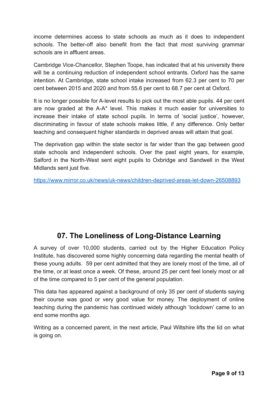income determines access to state schools as much as it does to independent schools. The better-off also benefit from the fact that most surviving grammar schools are in affluent areas.

Cambridge Vice-Chancellor, Stephen Toope, has indicated that at his university there will be a continuing reduction of independent school entrants. Oxford has the same intention. At Cambridge, state school intake increased from 62.3 per cent to 70 per cent between 2015 and 2020 and from 55.6 per cent to 68.7 per cent at Oxford.

It is no longer possible for A-level results to pick out the most able pupils. 44 per cent are now graded at the A-A\* level. This makes it much easier for universities to increase their intake of state school pupils. In terms of 'social justice', however, discriminating in favour of state schools makes little, if any difference. Only better teaching and consequent higher standards in deprived areas will attain that goal.

The deprivation gap within the state sector is far wider than the gap between good state schools and independent schools. Over the past eight years, for example, Salford in the North-West sent eight pupils to Oxbridge and Sandwell in the West Midlands sent just five.

<https://www.mirror.co.uk/news/uk-news/children-deprived-areas-let-down-26508893>

## **07. The Loneliness of Long-Distance Learning**

A survey of over 10,000 students, carried out by the Higher Education Policy Institute, has discovered some highly concerning data regarding the mental health of these young adults. 59 per cent admitted that they are lonely most of the time, all of the time, or at least once a week. Of these, around 25 per cent feel lonely most or all of the time compared to 5 per cent of the general population.

This data has appeared against a background of only 35 per cent of students saying their course was good or very good value for money. The deployment of online teaching during the pandemic has continued widely although 'lockdown' came to an end some months ago.

Writing as a concerned parent, in the next article, Paul Wiltshire lifts the lid on what is going on.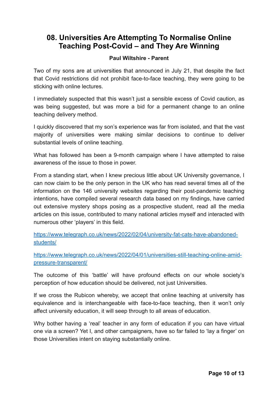#### **08. Universities Are Attempting To Normalise Online Teaching Post-Covid – and They Are Winning**

#### **Paul Wiltshire - Parent**

Two of my sons are at universities that announced in July 21, that despite the fact that Covid restrictions did not prohibit face-to-face teaching, they were going to be sticking with online lectures.

I immediately suspected that this wasn't just a sensible excess of Covid caution, as was being suggested, but was more a bid for a permanent change to an online teaching delivery method.

I quickly discovered that my son's experience was far from isolated, and that the vast majority of universities were making similar decisions to continue to deliver substantial levels of online teaching.

What has followed has been a 9-month campaign where I have attempted to raise awareness of the issue to those in power.

From a standing start, when I knew precious little about UK University governance, I can now claim to be the only person in the UK who has read several times all of the information on the 146 university websites regarding their post-pandemic teaching intentions, have compiled several research data based on my findings, have carried out extensive mystery shops posing as a prospective student, read all the media articles on this issue, contributed to many national articles myself and interacted with numerous other 'players' in this field.

[https://www.telegraph.co.uk/news/2022/02/04/university-fat-cats-have-abandoned](https://www.telegraph.co.uk/news/2022/02/04/university-fat-cats-have-abandoned-students/)[students/](https://www.telegraph.co.uk/news/2022/02/04/university-fat-cats-have-abandoned-students/)

[https://www.telegraph.co.uk/news/2022/04/01/universities-still-teaching-online-amid](https://www.telegraph.co.uk/news/2022/04/01/universities-still-teaching-online-amid-pressure-transparent/)[pressure-transparent/](https://www.telegraph.co.uk/news/2022/04/01/universities-still-teaching-online-amid-pressure-transparent/)

The outcome of this 'battle' will have profound effects on our whole society's perception of how education should be delivered, not just Universities.

If we cross the Rubicon whereby, we accept that online teaching at university has equivalence and is interchangeable with face-to-face teaching, then it won't only affect university education, it will seep through to all areas of education.

Why bother having a 'real' teacher in any form of education if you can have virtual one via a screen? Yet I, and other campaigners, have so far failed to 'lay a finger' on those Universities intent on staying substantially online.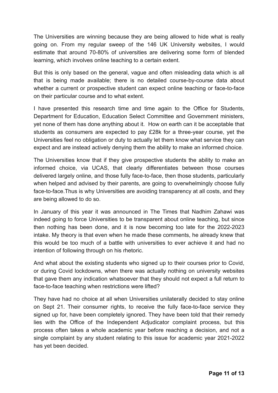The Universities are winning because they are being allowed to hide what is really going on. From my regular sweep of the 146 UK University websites, I would estimate that around 70-80% of universities are delivering some form of blended learning, which involves online teaching to a certain extent.

But this is only based on the general, vague and often misleading data which is all that is being made available; there is no detailed course-by-course data about whether a current or prospective student can expect online teaching or face-to-face on their particular course and to what extent.

I have presented this research time and time again to the Office for Students, Department for Education, Education Select Committee and Government ministers, yet none of them has done anything about it. How on earth can it be acceptable that students as consumers are expected to pay £28k for a three-year course, yet the Universities feel no obligation or duty to actually let them know what service they can expect and are instead actively denying them the ability to make an informed choice.

The Universities know that if they give prospective students the ability to make an informed choice, via UCAS, that clearly differentiates between those courses delivered largely online, and those fully face-to-face, then those students, particularly when helped and advised by their parents, are going to overwhelmingly choose fully face-to-face.Thus is why Universities are avoiding transparency at all costs, and they are being allowed to do so.

In January of this year it was announced in The Times that Nadhim Zahawi was indeed going to force Universities to be transparent about online teaching, but since then nothing has been done, and it is now becoming too late for the 2022-2023 intake. My theory is that even when he made these comments, he already knew that this would be too much of a battle with universities to ever achieve it and had no intention of following through on his rhetoric.

And what about the existing students who signed up to their courses prior to Covid, or during Covid lockdowns, when there was actually nothing on university websites that gave them any indication whatsoever that they should not expect a full return to face-to-face teaching when restrictions were lifted?

They have had no choice at all when Universities unilaterally decided to stay online on Sept 21. Their consumer rights, to receive the fully face-to-face service they signed up for, have been completely ignored. They have been told that their remedy lies with the Office of the Independent Adjudicator complaint process, but this process often takes a whole academic year before reaching a decision, and not a single complaint by any student relating to this issue for academic year 2021-2022 has yet been decided.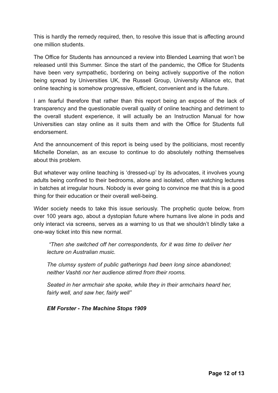This is hardly the remedy required, then, to resolve this issue that is affecting around one million students.

The Office for Students has announced a review into Blended Learning that won't be released until this Summer. Since the start of the pandemic, the Office for Students have been very sympathetic, bordering on being actively supportive of the notion being spread by Universities UK, the Russell Group, University Alliance etc, that online teaching is somehow progressive, efficient, convenient and is the future.

I am fearful therefore that rather than this report being an expose of the lack of transparency and the questionable overall quality of online teaching and detriment to the overall student experience, it will actually be an Instruction Manual for how Universities can stay online as it suits them and with the Office for Students full endorsement.

And the announcement of this report is being used by the politicians, most recently Michelle Donelan, as an excuse to continue to do absolutely nothing themselves about this problem.

But whatever way online teaching is 'dressed-up' by its advocates, it involves young adults being confined to their bedrooms, alone and isolated, often watching lectures in batches at irregular hours. Nobody is ever going to convince me that this is a good thing for their education or their overall well-being.

Wider society needs to take this issue seriously. The prophetic quote below, from over 100 years ago, about a dystopian future where humans live alone in pods and only interact via screens, serves as a warning to us that we shouldn't blindly take a one-way ticket into this new normal.

 *"Then she switched off her correspondents, for it was time to deliver her lecture on Australian music.* 

*The clumsy system of public gatherings had been long since abandoned; neither Vashti nor her audience stirred from their rooms.* 

*Seated in her armchair she spoke, while they in their armchairs heard her, fairly well, and saw her, fairly well"*

*EM Forster - The Machine Stops 1909*